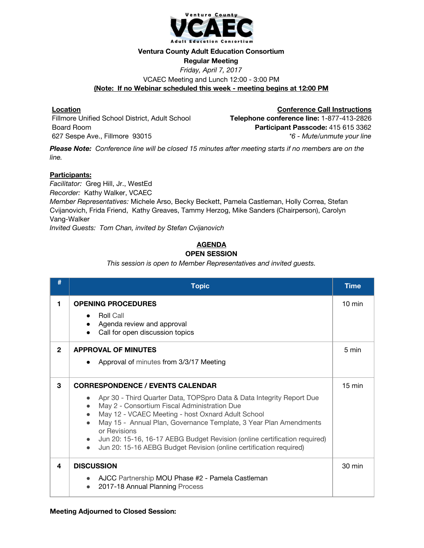

#### **Ventura County Adult Education Consortium**

### **Regular Meeting**

*Friday, April 7, 2017* VCAEC Meeting and Lunch 12:00 - 3:00 PM **(Note: If no Webinar scheduled this week - meeting begins at 12:00 PM**

# **Location**

Fillmore Unified School District, Adult School Board Room 627 Sespe Ave., Fillmore 93015

**Conference Call Instructions Telephone conference line:** 1-877-413-2826 **Participant Passcode:** 415 615 3362 *\*6 - Mute/unmute your line*

Please Note: Conference line will be closed 15 minutes after meeting starts if no members are on the *line.*

## **Participants:**

*Facilitator:* Greg Hill, Jr., WestEd *Recorder:* Kathy Walker, VCAEC *Member Representatives:* Michele Arso, Becky Beckett, Pamela Castleman, Holly Correa, Stefan Cvijanovich, Frida Friend, Kathy Greaves, Tammy Herzog, Mike Sanders (Chairperson), Carolyn Vang-Walker *Invited Guests: Tom Chan, invited by Stefan Cvijanovich*

#### **AGENDA OPEN SESSION**

*This session is open to Member Representatives and invited guests.*

| #            | <b>Topic</b>                                                                                                                                                                                                                                                                                                                                                                                                                                                                            | <b>Time</b>      |
|--------------|-----------------------------------------------------------------------------------------------------------------------------------------------------------------------------------------------------------------------------------------------------------------------------------------------------------------------------------------------------------------------------------------------------------------------------------------------------------------------------------------|------------------|
| 1            | <b>OPENING PROCEDURES</b><br><b>Roll Call</b><br>Agenda review and approval<br>Call for open discussion topics                                                                                                                                                                                                                                                                                                                                                                          | $10 \text{ min}$ |
| $\mathbf{2}$ | <b>APPROVAL OF MINUTES</b><br>Approval of minutes from 3/3/17 Meeting                                                                                                                                                                                                                                                                                                                                                                                                                   | 5 min            |
| 3            | <b>CORRESPONDENCE / EVENTS CALENDAR</b><br>Apr 30 - Third Quarter Data, TOPSpro Data & Data Integrity Report Due<br>May 2 - Consortium Fiscal Administration Due<br>May 12 - VCAEC Meeting - host Oxnard Adult School<br>May 15 - Annual Plan, Governance Template, 3 Year Plan Amendments<br>or Revisions<br>Jun 20: 15-16, 16-17 AEBG Budget Revision (online certification required)<br>$\bullet$<br>Jun 20: 15-16 AEBG Budget Revision (online certification required)<br>$\bullet$ | $15 \text{ min}$ |
| 4            | <b>DISCUSSION</b><br>AJCC Partnership MOU Phase #2 - Pamela Castleman<br>2017-18 Annual Planning Process                                                                                                                                                                                                                                                                                                                                                                                | 30 min           |